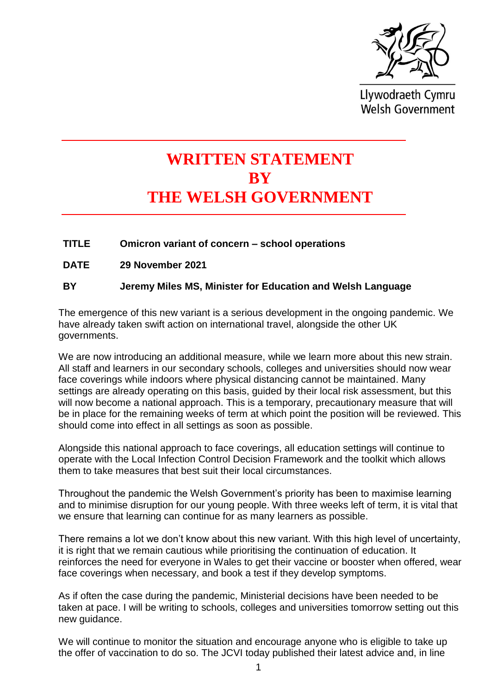

Llywodraeth Cymru **Welsh Government** 

## **WRITTEN STATEMENT BY THE WELSH GOVERNMENT**

**TITLE Omicron variant of concern – school operations**

**DATE 29 November 2021**

## **BY Jeremy Miles MS, Minister for Education and Welsh Language**

The emergence of this new variant is a serious development in the ongoing pandemic. We have already taken swift action on international travel, alongside the other UK governments.

We are now introducing an additional measure, while we learn more about this new strain. All staff and learners in our secondary schools, colleges and universities should now wear face coverings while indoors where physical distancing cannot be maintained. Many settings are already operating on this basis, guided by their local risk assessment, but this will now become a national approach. This is a temporary, precautionary measure that will be in place for the remaining weeks of term at which point the position will be reviewed. This should come into effect in all settings as soon as possible.

Alongside this national approach to face coverings, all education settings will continue to operate with the Local Infection Control Decision Framework and the toolkit which allows them to take measures that best suit their local circumstances.

Throughout the pandemic the Welsh Government's priority has been to maximise learning and to minimise disruption for our young people. With three weeks left of term, it is vital that we ensure that learning can continue for as many learners as possible.

There remains a lot we don't know about this new variant. With this high level of uncertainty, it is right that we remain cautious while prioritising the continuation of education. It reinforces the need for everyone in Wales to get their vaccine or booster when offered, wear face coverings when necessary, and book a test if they develop symptoms.

As if often the case during the pandemic, Ministerial decisions have been needed to be taken at pace. I will be writing to schools, colleges and universities tomorrow setting out this new guidance.

We will continue to monitor the situation and encourage anyone who is eligible to take up the offer of vaccination to do so. The JCVI today published their latest advice and, in line